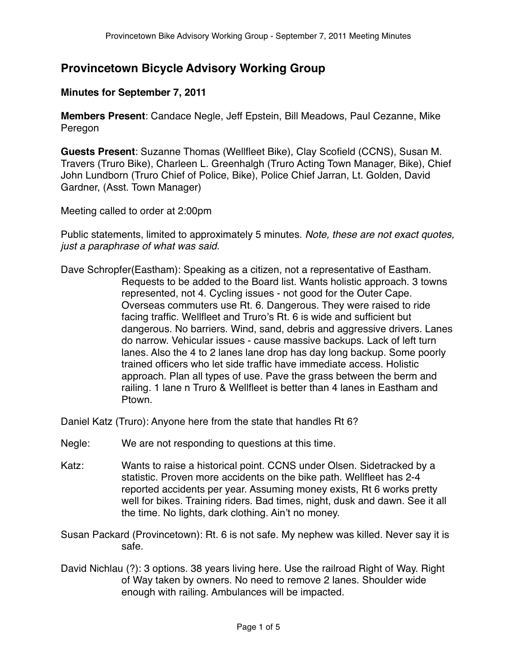# **Provincetown Bicycle Advisory Working Group**

## **Minutes for September 7, 2011**

**Members Present**: Candace Negle, Jeff Epstein, Bill Meadows, Paul Cezanne, Mike Peregon

**Guests Present**: Suzanne Thomas (Wellfleet Bike), Clay Scofield (CCNS), Susan M. Travers (Truro Bike), Charleen L. Greenhalgh (Truro Acting Town Manager, Bike), Chief John Lundborn (Truro Chief of Police, Bike), Police Chief Jarran, Lt. Golden, David Gardner, (Asst. Town Manager)

Meeting called to order at 2:00pm

Public statements, limited to approximately 5 minutes. Note, these are not exact quotes, just a paraphrase of what was said.

Dave Schropfer(Eastham): Speaking as a citizen, not a representative of Eastham. Requests to be added to the Board list. Wants holistic approach. 3 towns represented, not 4. Cycling issues - not good for the Outer Cape. Overseas commuters use Rt. 6. Dangerous. They were raised to ride facing traffic. Wellfleet and Truro's Rt. 6 is wide and sufficient but dangerous. No barriers. Wind, sand, debris and aggressive drivers. Lanes do narrow. Vehicular issues - cause massive backups. Lack of left turn lanes. Also the 4 to 2 lanes lane drop has day long backup. Some poorly trained officers who let side traffic have immediate access. Holistic approach. Plan all types of use. Pave the grass between the berm and railing. 1 lane n Truro & Wellfleet is better than 4 lanes in Eastham and Ptown.

Daniel Katz (Truro): Anyone here from the state that handles Rt 6?

- Negle: We are not responding to questions at this time.
- Katz: Wants to raise a historical point. CCNS under Olsen. Sidetracked by a statistic. Proven more accidents on the bike path. Wellfleet has 2-4 reported accidents per year. Assuming money exists, Rt 6 works pretty well for bikes. Training riders. Bad times, night, dusk and dawn. See it all the time. No lights, dark clothing. Ain't no money.
- Susan Packard (Provincetown): Rt. 6 is not safe. My nephew was killed. Never say it is safe.
- David Nichlau (?): 3 options. 38 years living here. Use the railroad Right of Way. Right of Way taken by owners. No need to remove 2 lanes. Shoulder wide enough with railing. Ambulances will be impacted.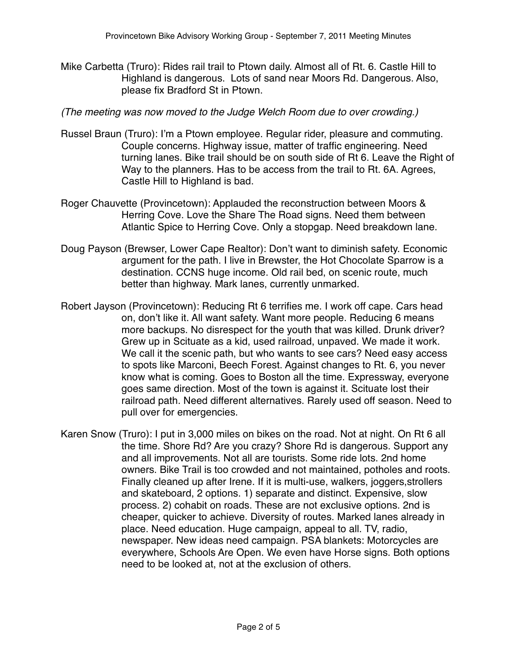Mike Carbetta (Truro): Rides rail trail to Ptown daily. Almost all of Rt. 6. Castle Hill to Highland is dangerous. Lots of sand near Moors Rd. Dangerous. Also, please fix Bradford St in Ptown.

### (The meeting was now moved to the Judge Welch Room due to over crowding.)

- Russel Braun (Truro): I'm a Ptown employee. Regular rider, pleasure and commuting. Couple concerns. Highway issue, matter of traffic engineering. Need turning lanes. Bike trail should be on south side of Rt 6. Leave the Right of Way to the planners. Has to be access from the trail to Rt. 6A. Agrees, Castle Hill to Highland is bad.
- Roger Chauvette (Provincetown): Applauded the reconstruction between Moors & Herring Cove. Love the Share The Road signs. Need them between Atlantic Spice to Herring Cove. Only a stopgap. Need breakdown lane.
- Doug Payson (Brewser, Lower Cape Realtor): Don't want to diminish safety. Economic argument for the path. I live in Brewster, the Hot Chocolate Sparrow is a destination. CCNS huge income. Old rail bed, on scenic route, much better than highway. Mark lanes, currently unmarked.
- Robert Jayson (Provincetown): Reducing Rt 6 terrifies me. I work off cape. Cars head on, don't like it. All want safety. Want more people. Reducing 6 means more backups. No disrespect for the youth that was killed. Drunk driver? Grew up in Scituate as a kid, used railroad, unpaved. We made it work. We call it the scenic path, but who wants to see cars? Need easy access to spots like Marconi, Beech Forest. Against changes to Rt. 6, you never know what is coming. Goes to Boston all the time. Expressway, everyone goes same direction. Most of the town is against it. Scituate lost their railroad path. Need different alternatives. Rarely used off season. Need to pull over for emergencies.
- Karen Snow (Truro): I put in 3,000 miles on bikes on the road. Not at night. On Rt 6 all the time. Shore Rd? Are you crazy? Shore Rd is dangerous. Support any and all improvements. Not all are tourists. Some ride lots. 2nd home owners. Bike Trail is too crowded and not maintained, potholes and roots. Finally cleaned up after Irene. If it is multi-use, walkers, joggers,strollers and skateboard, 2 options. 1) separate and distinct. Expensive, slow process. 2) cohabit on roads. These are not exclusive options. 2nd is cheaper, quicker to achieve. Diversity of routes. Marked lanes already in place. Need education. Huge campaign, appeal to all. TV, radio, newspaper. New ideas need campaign. PSA blankets: Motorcycles are everywhere, Schools Are Open. We even have Horse signs. Both options need to be looked at, not at the exclusion of others.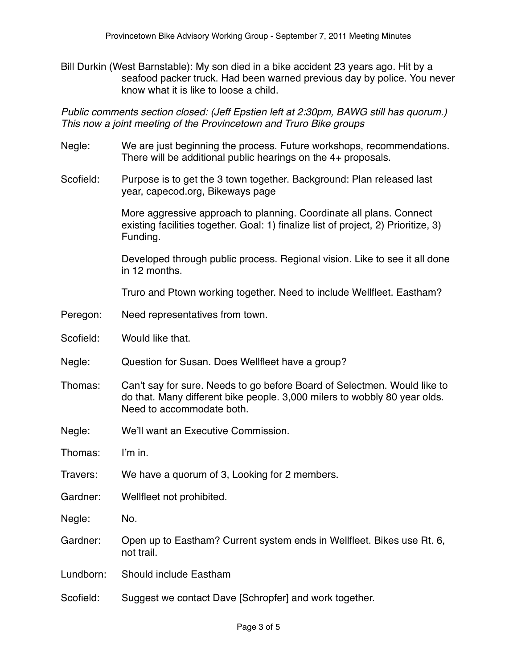Bill Durkin (West Barnstable): My son died in a bike accident 23 years ago. Hit by a seafood packer truck. Had been warned previous day by police. You never know what it is like to loose a child.

Public comments section closed: (Jeff Epstien left at 2:30pm, BAWG still has quorum.) This now a joint meeting of the Provincetown and Truro Bike groups

- Negle: We are just beginning the process. Future workshops, recommendations. There will be additional public hearings on the 4+ proposals.
- Scofield: Purpose is to get the 3 town together. Background: Plan released last year, capecod.org, Bikeways page

 More aggressive approach to planning. Coordinate all plans. Connect existing facilities together. Goal: 1) finalize list of project, 2) Prioritize, 3) Funding.

 Developed through public process. Regional vision. Like to see it all done in 12 months.

Truro and Ptown working together. Need to include Wellfleet. Eastham?

- Peregon: Need representatives from town.
- Scofield: Would like that.
- Negle: Question for Susan. Does Wellfleet have a group?
- Thomas: Can't say for sure. Needs to go before Board of Selectmen. Would like to do that. Many different bike people. 3,000 milers to wobbly 80 year olds. Need to accommodate both.
- Negle: We'll want an Executive Commission.

Thomas: I'm in.

Travers: We have a quorum of 3, Looking for 2 members.

Gardner: Wellfleet not prohibited.

Negle: No.

- Gardner: Open up to Eastham? Current system ends in Wellfleet. Bikes use Rt. 6, not trail.
- Lundborn: Should include Eastham
- Scofield: Suggest we contact Dave [Schropfer] and work together.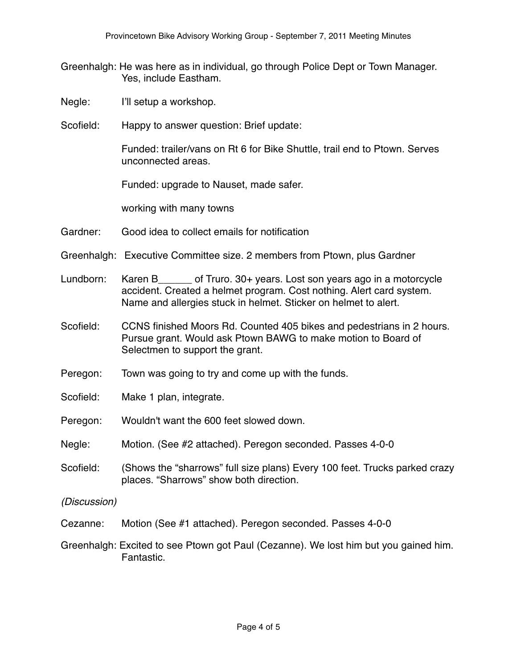- Greenhalgh: He was here as in individual, go through Police Dept or Town Manager. Yes, include Eastham.
- Negle: I'll setup a workshop.
- Scofield: Happy to answer question: Brief update:

 Funded: trailer/vans on Rt 6 for Bike Shuttle, trail end to Ptown. Serves unconnected areas.

Funded: upgrade to Nauset, made safer.

working with many towns

- Gardner: Good idea to collect emails for notification
- Greenhalgh: Executive Committee size. 2 members from Ptown, plus Gardner
- Lundborn: Karen B\_\_\_\_\_\_ of Truro. 30+ years. Lost son years ago in a motorcycle accident. Created a helmet program. Cost nothing. Alert card system. Name and allergies stuck in helmet. Sticker on helmet to alert.
- Scofield: CCNS finished Moors Rd. Counted 405 bikes and pedestrians in 2 hours. Pursue grant. Would ask Ptown BAWG to make motion to Board of Selectmen to support the grant.
- Peregon: Town was going to try and come up with the funds.
- Scofield: Make 1 plan, integrate.
- Peregon: Wouldn't want the 600 feet slowed down.
- Negle: Motion. (See #2 attached). Peregon seconded. Passes 4-0-0
- Scofield: (Shows the "sharrows" full size plans) Every 100 feet. Trucks parked crazy places. "Sharrows" show both direction.

(Discussion)

- Cezanne: Motion (See #1 attached). Peregon seconded. Passes 4-0-0
- Greenhalgh: Excited to see Ptown got Paul (Cezanne). We lost him but you gained him. Fantastic.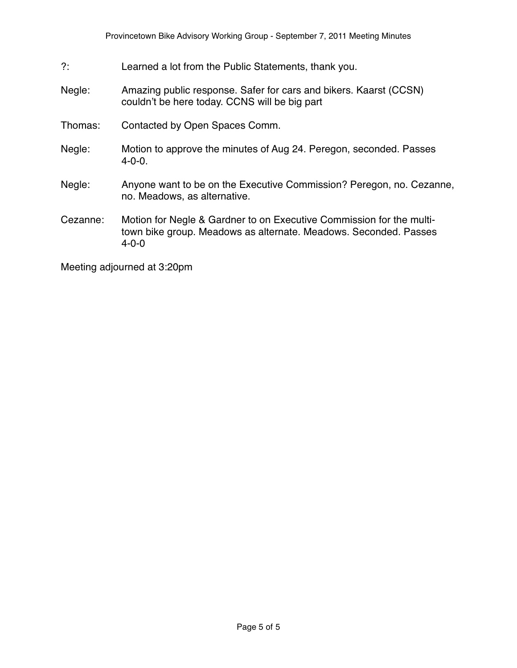- ?: Learned a lot from the Public Statements, thank you.
- Negle: Amazing public response. Safer for cars and bikers. Kaarst (CCSN) couldn't be here today. CCNS will be big part
- Thomas: Contacted by Open Spaces Comm.
- Negle: Motion to approve the minutes of Aug 24. Peregon, seconded. Passes 4-0-0.
- Negle: Anyone want to be on the Executive Commission? Peregon, no. Cezanne, no. Meadows, as alternative.
- Cezanne: Motion for Negle & Gardner to on Executive Commission for the multitown bike group. Meadows as alternate. Meadows. Seconded. Passes 4-0-0

Meeting adjourned at 3:20pm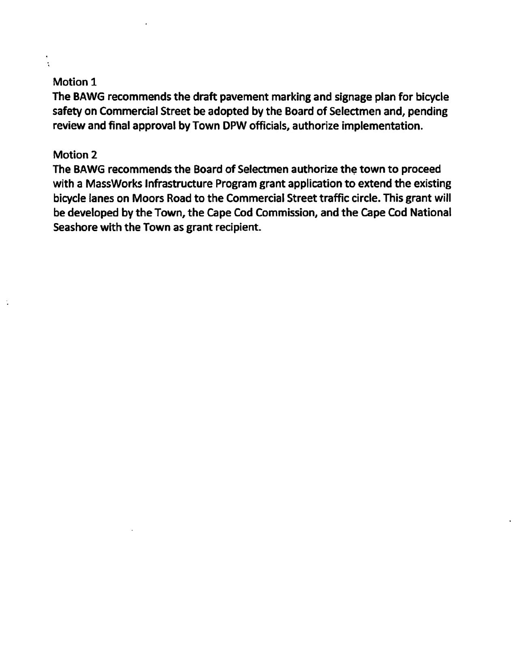# Motion 1

÷

The BAWG recommends the draft pavement marking and signage plan for bicycle safety on Commercial Street be adopted by the Board of Selectmen and, pending review and final approval by Town DPW officials, authorize implementation.

### Motion 2

The BAWG recommends the Board of Selectmen authorize the town to proceed with a MassWorks Infrastructure Program grant application to extend the existing bicycle lanes on Moors Road to the Commercial Street traffic circle. This grant will be developed by the Town, the Cape Cod Commission, and the Cape Cod National Seashore with the Town as grant recipient.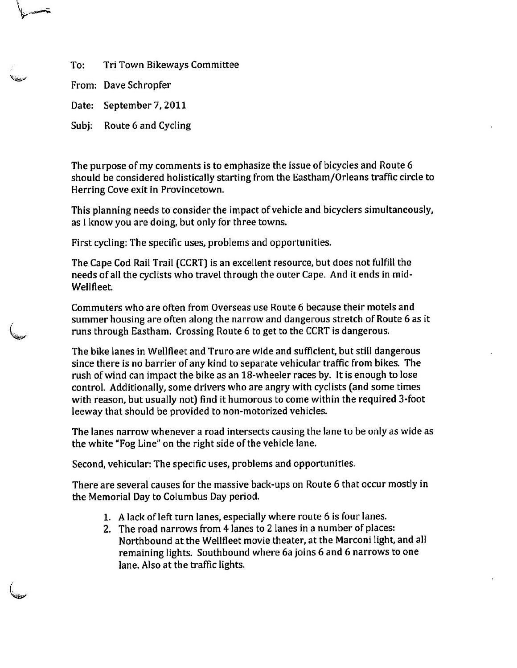To: Tri Town Bikeways Committee

From: Dave Schropfer

Date: September 7,2011

Subj: Route 6 and Cycling

The purpose of my comments is to emphasize the issue of bicycles and Route 6 should be considered holistically starting from the Eastham/Orleans traffic circle to Herring Cove exit in Provincetown.

This planning needs to consider the impact of vehicle and bicyclers simultaneously, as I know you are doing, but only for three towns.

First cycling: The specific uses, problems and opportunities.

The Cape Cod Rail Trail (CCRT) is an excellent resource, but does not fulfill the needs of all the cyclists who travel through the outer Cape. And it ends in mid-Wellfleet

Commuters who are often from Overseas use Route 6 because their motels and summer housing are often along the narrow and dangerous stretch of Route 6 as it runs through Eastham. Crossing Route 6 to get to the CCRT is dangerous.

The bike lanes in Wellfleet and Truro are wide and sufficient, but still dangerous since there is no barrier of any kind to separate vehicular traffic from bikes. The rush of wind can impact the bike as an 18-wheeler races by. It is enough to lose control. Additionally, some drivers who are angry with cyclists (and some times with reason, but usually not) find it humorous to come within the required 3-foot leeway that should be provided to non-motorized vehicles.

The lanes narrow whenever a road intersects causing the lane to be only as wide as the white "Fog Line" on the right side of the vehicle lane.

Second, vehicular: The specific uses, problems and opportunities.

There are several causes for the massive back-ups on Route 6 that occur mostly in the Memorial Day to Columbus Day period.

- 1. Alack of left turn lanes, especially where route 6 is four lanes.
- 2. The road narrows from 4 lanes to 2 lanes in a number of places: Northbound at the Wellfleet movie theater, at the Marconi light, and all remaining lights. Southbound where 6a joins 6 and 6 narrows to one lane. Also at the traffic lights.